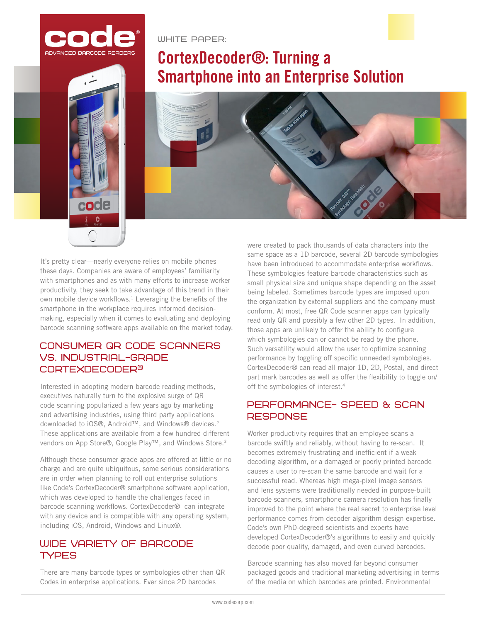

code

WHITE PAPER:

# **CortexDecoder<sup>®</sup>: Turning a Smartphone into an Enterprise Solution**

It's pretty clear—nearly everyone relies on mobile phones these days. Companies are aware of employees' familiarity with smartphones and as with many efforts to increase worker productivity, they seek to take advantage of this trend in their own mobile device workflows.<sup>1</sup> Leveraging the benefits of the smartphone in the workplace requires informed decisionmaking, especially when it comes to evaluating and deploying barcode scanning software apps available on the market today.

## CONSUMER QR CODE SCANNERS **VS. INDUSTRIAL-GRADE CORTEXDECODER®**

Interested in adopting modern barcode reading methods, executives naturally turn to the explosive surge of QR code scanning popularized a few years ago by marketing and advertising industries, using third party applications downloaded to iOS®, Android™, and Windows® devices.2 These applications are available from a few hundred different vendors on App Store®, Google Play™, and Windows Store.<sup>3</sup>

Although these consumer grade apps are offered at little or no charge and are quite ubiquitous, some serious considerations are in order when planning to roll out enterprise solutions like Code's CortexDecoder® smartphone software application, which was developed to handle the challenges faced in barcode scanning workflows. CortexDecoder® can integrate with any device and is compatible with any operating system, including iOS, Android, Windows and Linux®.

## WIDE VARIETY OF BARCODE **TYPES**

There are many barcode types or symbologies other than QR Codes in enterprise applications. Ever since 2D barcodes

were created to pack thousands of data characters into the same space as a 1D barcode, several 2D barcode symbologies have been introduced to accommodate enterprise workflows. These symbologies feature barcode characteristics such as small physical size and unique shape depending on the asset being labeled. Sometimes barcode types are imposed upon the organization by external suppliers and the company must conform. At most, free QR Code scanner apps can typically read only QR and possibly a few other 2D types. In addition, those apps are unlikely to offer the ability to configure which symbologies can or cannot be read by the phone. Such versatility would allow the user to optimize scanning performance by toggling off specific unneeded symbologies. CortexDecoder® can read all major 1D, 2D, Postal, and direct part mark barcodes as well as offer the flexibility to toggle on/ off the symbologies of interest.<sup>4</sup>

# PERFORMANCE- SPEED & SCAN **RESPONSE**

Worker productivity requires that an employee scans a barcode swiftly and reliably, without having to re-scan. It becomes extremely frustrating and inefficient if a weak decoding algorithm, or a damaged or poorly printed barcode causes a user to re-scan the same barcode and wait for a successful read. Whereas high mega-pixel image sensors and lens systems were traditionally needed in purpose-built barcode scanners, smartphone camera resolution has finally improved to the point where the real secret to enterprise level performance comes from decoder algorithm design expertise. Code's own PhD-degreed scientists and experts have developed CortexDecoder®'s algorithms to easily and quickly decode poor quality, damaged, and even curved barcodes.

Barcode scanning has also moved far beyond consumer packaged goods and traditional marketing advertising in terms of the media on which barcodes are printed. Environmental